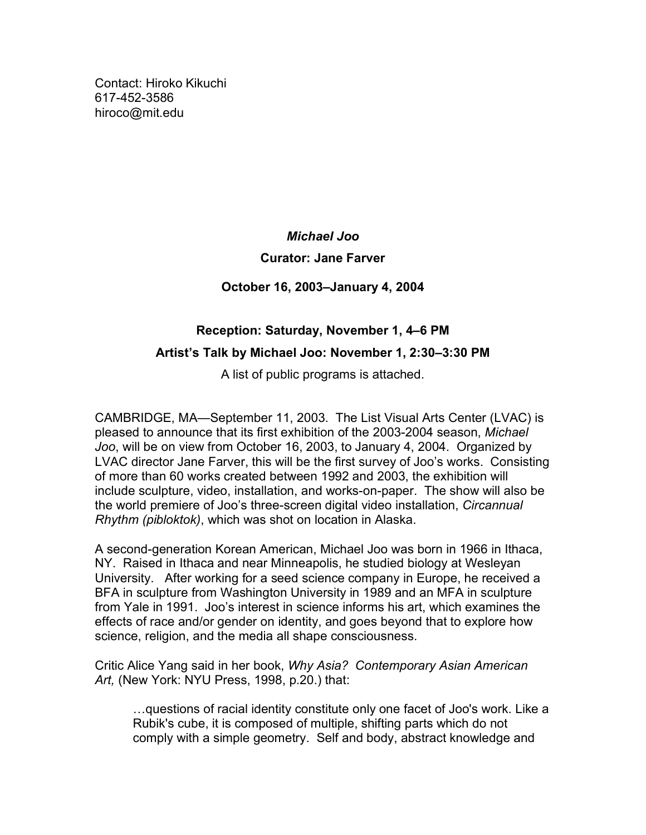Contact: Hiroko Kikuchi [617-452-3586](tel:6174523586) [hiroco@mit.edu](mailto:hiroco@mit.edu)

# *Michael Joo*

## **Curator: Jane Farver**

# **October 16, 2003–January 4, 2004**

# **Reception: Saturday, November 1, 4–6 PM Artist's Talk by Michael Joo: November 1, 2:30–3:30 PM**

A list of public programs is attached.

CAMBRIDGE, MA—September 11, 2003. The List Visual Arts Center (LVAC) is pleased to announce that its first exhibition of the 2003-2004 season, *Michael Joo*, will be on view from October 16, 2003, to January 4, 2004. Organized by LVAC director Jane Farver, this will be the first survey of Joo's works. Consisting of more than 60 works created between 1992 and 2003, the exhibition will include sculpture, video, installation, and works-on-paper. The show will also be the world premiere of Joo's three-screen digital video installation, *Circannual Rhythm (pibloktok)*, which was shot on location in Alaska.

A second-generation Korean American, Michael Joo was born in 1966 in Ithaca, NY. Raised in Ithaca and near Minneapolis, he studied biology at Wesleyan University. After working for a seed science company in Europe, he received a BFA in sculpture from Washington University in 1989 and an MFA in sculpture from Yale in 1991. Joo's interest in science informs his art, which examines the effects of race and/or gender on identity, and goes beyond that to explore how science, religion, and the media all shape consciousness.

Critic Alice Yang said in her book, *Why Asia? Contemporary Asian American Art,* (New York: NYU Press, 1998, p.20.) that:

…questions of racial identity constitute only one facet of Joo's work. Like a Rubik's cube, it is composed of multiple, shifting parts which do not comply with a simple geometry. Self and body, abstract knowledge and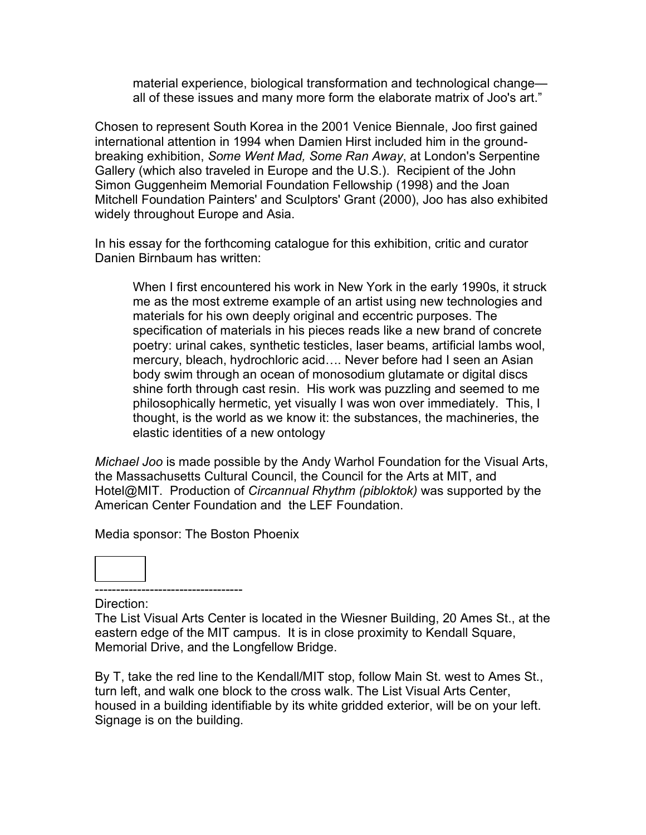material experience, biological transformation and technological change all of these issues and many more form the elaborate matrix of Joo's art."

Chosen to represent South Korea in the 2001 Venice Biennale, Joo first gained international attention in 1994 when Damien Hirst included him in the groundbreaking exhibition, *Some Went Mad, Some Ran Away*, at London's Serpentine Gallery (which also traveled in Europe and the U.S.). Recipient of the John Simon Guggenheim Memorial Foundation Fellowship (1998) and the Joan Mitchell Foundation Painters' and Sculptors' Grant (2000), Joo has also exhibited widely throughout Europe and Asia.

In his essay for the forthcoming catalogue for this exhibition, critic and curator Danien Birnbaum has written:

When I first encountered his work in New York in the early 1990s, it struck me as the most extreme example of an artist using new technologies and materials for his own deeply original and eccentric purposes. The specification of materials in his pieces reads like a new brand of concrete poetry: urinal cakes, synthetic testicles, laser beams, artificial lambs wool, mercury, bleach, hydrochloric acid…. Never before had I seen an Asian body swim through an ocean of monosodium glutamate or digital discs shine forth through cast resin. His work was puzzling and seemed to me philosophically hermetic, yet visually I was won over immediately. This, I thought, is the world as we know it: the substances, the machineries, the elastic identities of a new ontology

*Michael Joo* is made possible by the Andy Warhol Foundation for the Visual Arts, the Massachusetts Cultural Council, the Council for the Arts at MIT, and Hotel@MIT. Production of *Circannual Rhythm (pibloktok)* was supported by the American Center Foundation and the LEF Foundation.

Media sponsor: The Boston Phoenix



----------------------------------- Direction:

The List Visual Arts Center is located in the Wiesner Building, 20 Ames St., at the eastern edge of the MIT campus. It is in close proximity to Kendall Square, Memorial Drive, and the Longfellow Bridge.

By T, take the red line to the Kendall/MIT stop, follow Main St. west to Ames St., turn left, and walk one block to the cross walk. The List Visual Arts Center, housed in a building identifiable by its white gridded exterior, will be on your left. Signage is on the building.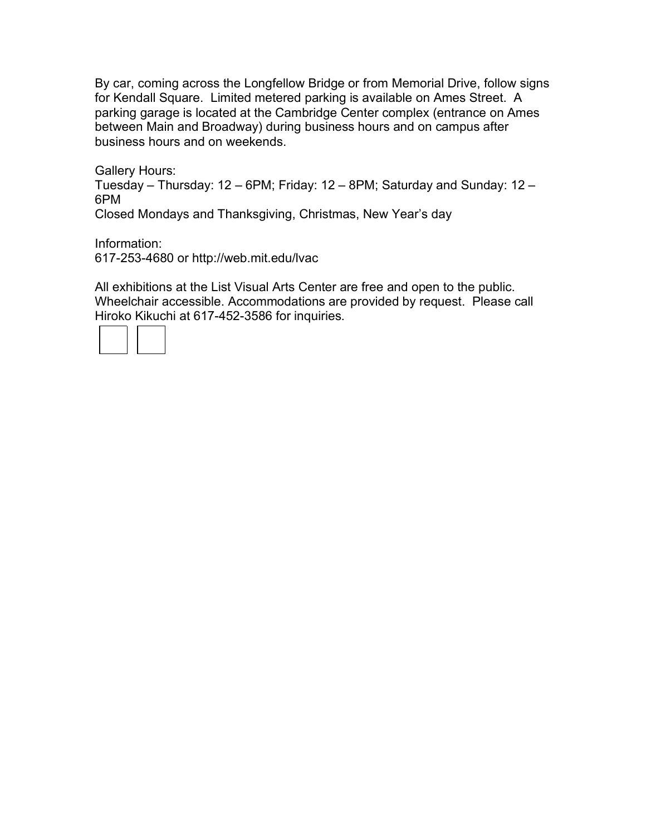By car, coming across the Longfellow Bridge or from Memorial Drive, follow signs for Kendall Square. Limited metered parking is available on Ames Street. A parking garage is located at the Cambridge Center complex (entrance on Ames between Main and Broadway) during business hours and on campus after business hours and on weekends.

Gallery Hours: Tuesday – Thursday: 12 – 6PM; Friday: 12 – 8PM; Saturday and Sunday: 12 – 6PM Closed Mondays and Thanksgiving, Christmas, New Year's day

Information: [617-253-4680](tel:6172534680) or<http://web.mit.edu/lvac>

All exhibitions at the List Visual Arts Center are free and open to the public. Wheelchair accessible. Accommodations are provided by request. Please call Hiroko Kikuchi at [617-452-3586](tel:6174523586) for inquiries.